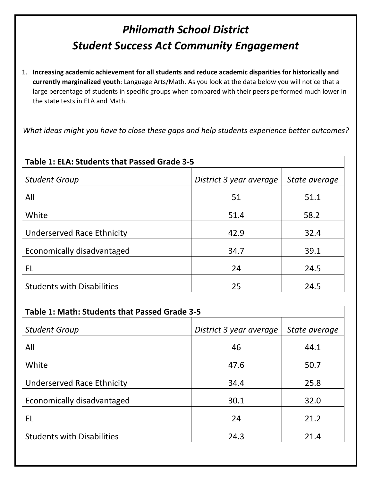## *Philomath School District Student Success Act Community Engagement*

1. **Increasing academic achievement for all students and reduce academic disparities for historically and currently marginalized youth**: Language Arts/Math. As you look at the data below you will notice that a large percentage of students in specific groups when compared with their peers performed much lower in the state tests in ELA and Math.

*What ideas might you have to close these gaps and help students experience better outcomes?*

| Table 1: ELA: Students that Passed Grade 3-5 |                         |               |
|----------------------------------------------|-------------------------|---------------|
| <b>Student Group</b>                         | District 3 year average | State average |
| All                                          | 51                      | 51.1          |
| White                                        | 51.4                    | 58.2          |
| <b>Underserved Race Ethnicity</b>            | 42.9                    | 32.4          |
| Economically disadvantaged                   | 34.7                    | 39.1          |
| EL                                           | 24                      | 24.5          |
| <b>Students with Disabilities</b>            | 25                      | 24.5          |

| Table 1: Math: Students that Passed Grade 3-5 |                         |               |
|-----------------------------------------------|-------------------------|---------------|
| <b>Student Group</b>                          | District 3 year average | State average |
| All                                           | 46                      | 44.1          |
| White                                         | 47.6                    | 50.7          |
| <b>Underserved Race Ethnicity</b>             | 34.4                    | 25.8          |
| Economically disadvantaged                    | 30.1                    | 32.0          |
| EL                                            | 24                      | 21.2          |
| <b>Students with Disabilities</b>             | 24.3                    | 21.4          |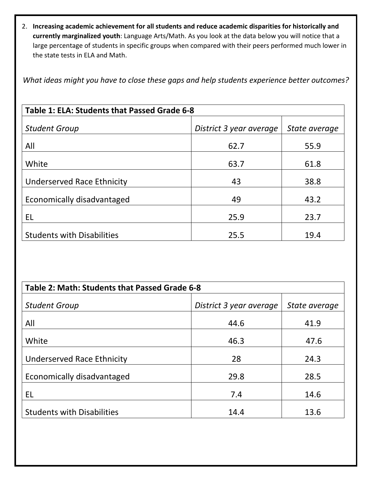2. **Increasing academic achievement for all students and reduce academic disparities for historically and currently marginalized youth**: Language Arts/Math. As you look at the data below you will notice that a large percentage of students in specific groups when compared with their peers performed much lower in the state tests in ELA and Math.

*What ideas might you have to close these gaps and help students experience better outcomes?*

| Table 1: ELA: Students that Passed Grade 6-8 |                         |               |
|----------------------------------------------|-------------------------|---------------|
| <b>Student Group</b>                         | District 3 year average | State average |
| All                                          | 62.7                    | 55.9          |
| White                                        | 63.7                    | 61.8          |
| <b>Underserved Race Ethnicity</b>            | 43                      | 38.8          |
| Economically disadvantaged                   | 49                      | 43.2          |
| EL                                           | 25.9                    | 23.7          |
| <b>Students with Disabilities</b>            | 25.5                    | 19.4          |

| Table 2: Math: Students that Passed Grade 6-8 |                         |               |
|-----------------------------------------------|-------------------------|---------------|
| <b>Student Group</b>                          | District 3 year average | State average |
| All                                           | 44.6                    | 41.9          |
| White                                         | 46.3                    | 47.6          |
| Underserved Race Ethnicity                    | 28                      | 24.3          |
| Economically disadvantaged                    | 29.8                    | 28.5          |
| EL                                            | 7.4                     | 14.6          |
| <b>Students with Disabilities</b>             | 14.4                    | 13.6          |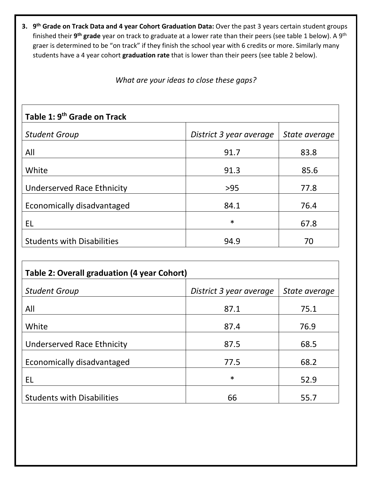**3. 9th Grade on Track Data and 4 year Cohort Graduation Data:** Over the past 3 years certain student groups finished their **9th grade** year on track to graduate at a lower rate than their peers (see table 1 below). A 9th graer is determined to be "on track" if they finish the school year with 6 credits or more. Similarly many students have a 4 year cohort **graduation rate** that is lower than their peers (see table 2 below).

*What are your ideas to close these gaps?*

| Table 1: 9 <sup>th</sup> Grade on Track |                         |               |
|-----------------------------------------|-------------------------|---------------|
| <b>Student Group</b>                    | District 3 year average | State average |
| All                                     | 91.7                    | 83.8          |
| White                                   | 91.3                    | 85.6          |
| Underserved Race Ethnicity              | $>95$                   | 77.8          |
| Economically disadvantaged              | 84.1                    | 76.4          |
| EL                                      | $\ast$                  | 67.8          |
| <b>Students with Disabilities</b>       | 94.9                    | 70            |
|                                         |                         |               |

| Table 2: Overall graduation (4 year Cohort) |                         |               |
|---------------------------------------------|-------------------------|---------------|
| <b>Student Group</b>                        | District 3 year average | State average |
| All                                         | 87.1                    | 75.1          |
| White                                       | 87.4                    | 76.9          |
| <b>Underserved Race Ethnicity</b>           | 87.5                    | 68.5          |
| Economically disadvantaged                  | 77.5                    | 68.2          |
| EL                                          | $\ast$                  | 52.9          |
| <b>Students with Disabilities</b>           | 66                      | 55.7          |